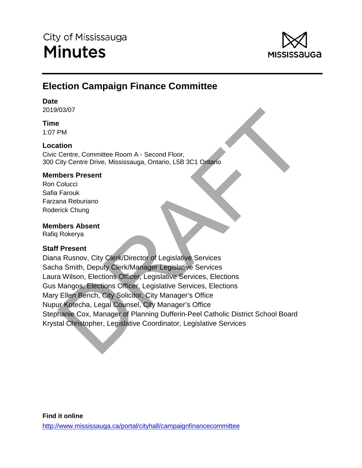

# **Election Campaign Finance Committee**

# **Date**

2019/03/07

# **Time**

1:07 PM

# **Location**

Civic Centre, Committee Room A - Second Floor, 300 City Centre Drive, Mississauga, Ontario, L5B 3C1 Ontario

# **Members Present**

Ron Colucci Safia Farouk Farzana Reburiano Roderick Chung

# **Members Absent**

Rafiq Rokerya

# **Staff Present**

(1930)<br>
Tentre Committee Room A - Second Floor,<br>
Dentre Dire, Mississauga, Ontario, L5B 3C1 Ontario<br>
Dentre Dire, Mississauga, Ontario, L5B 3C1 Ontario<br>
Fracture<br>
Tracture<br>
Tracture<br>
Present<br>
Rokerya<br>
IP Present<br>
Rokerya<br> Diana Rusnov, City Clerk/Director of Legislative Services Sacha Smith, Deputy Clerk/Manager Legislative Services Laura Wilson, Elections Officer, Legislative Services, Elections Gus Mangos, Elections Officer, Legislative Services, Elections Mary Ellen Bench, City Solicitor, City Manager's Office Nupur Kotecha, Legal Counsel, City Manager's Office Stephanie Cox, Manager of Planning Dufferin-Peel Catholic District School Board Krystal Christopher, Legislative Coordinator, Legislative Services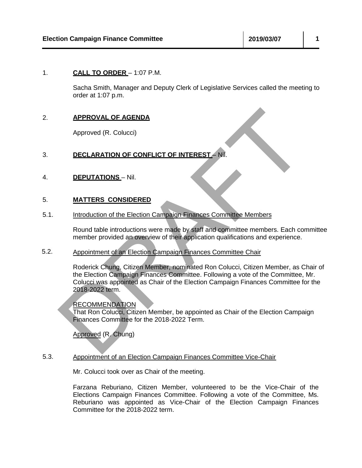### 1. **CALL TO ORDER** – 1:07 P.M.

Sacha Smith, Manager and Deputy Clerk of Legislative Services called the meeting to order at 1:07 p.m.

## 2. **APPROVAL OF AGENDA**

Approved (R. Colucci)

# 3. **DECLARATION OF CONFLICT OF INTEREST** – Nil.

4. **DEPUTATIONS** – Nil.

#### 5. **MATTERS CONSIDERED**

5.1. Introduction of the Election Campaign Finances Committee Members

> Round table introductions were made by staff and committee members. Each committee member provided an overview of their application qualifications and experience.

#### 5.2. Appointment of an Election Campaign Finances Committee Chair

**APPROVAL OF AGENDA**<br>
Approved (R. Colucci)<br>
DECLARATION OF CONFLICT OF INTEREST - NII.<br>
MATTERS CONSIDERED<br>
Introduction of the Election Campaign Finances Committee Members<br>
Round table introductions were made by staff an Roderick Chung, Citizen Member, nominated Ron Colucci, Citizen Member, as Chair of the Election Campaign Finances Committee. Following a vote of the Committee, Mr. Colucci was appointed as Chair of the Election Campaign Finances Committee for the 2018-2022 term.

### RECOMMENDATION

That Ron Colucci, Citizen Member, be appointed as Chair of the Election Campaign Finances Committee for the 2018-2022 Term.

Approved (R. Chung)

### 5.3. Appointment of an Election Campaign Finances Committee Vice-Chair

Mr. Colucci took over as Chair of the meeting.

Farzana Reburiano, Citizen Member, volunteered to be the Vice-Chair of the Elections Campaign Finances Committee. Following a vote of the Committee, Ms. Reburiano was appointed as Vice-Chair of the Election Campaign Finances Committee for the 2018-2022 term.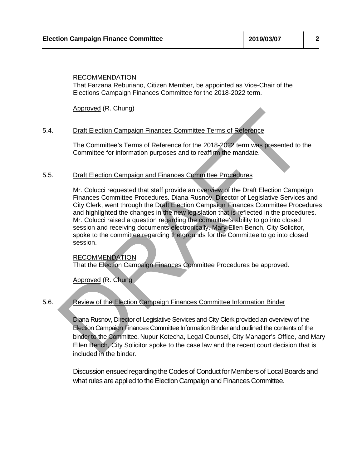### RECOMMENDATION

That Farzana Reburiano, Citizen Member, be appointed as Vice-Chair of the Elections Campaign Finances Committee for the 2018-2022 term.

Approved (R. Chung)

#### 5.4. Draft Election Campaign Finances Committee Terms of Reference

The Committee's Terms of Reference for the 2018-2022 term was presented to the Committee for information purposes and to reaffirm the mandate.

#### 5.5. Draft Election Campaign and Finances Committee Procedures

**Example 12** (K. Chung)<br>
Draft Election Campaign Finances Committee Terms of Reference<br>
The Committee's Terms of Reference for the 2018-2022 (sem was presented to the<br>
Committee for information purposes and to reaffirm the Mr. Colucci requested that staff provide an overview of the Draft Election Campaign Finances Committee Procedures. Diana Rusnov, Director of Legislative Services and City Clerk, went through the Draft Election Campaign Finances Committee Procedures and highlighted the changes in the new legislation that is reflected in the procedures. Mr. Colucci raised a question regarding the committee's ability to go into closed session and receiving documents electronically. Mary Ellen Bench, City Solicitor, spoke to the committee regarding the grounds for the Committee to go into closed session.

### RECOMMENDATION

That the Election Campaign Finances Committee Procedures be approved.

Approved (R. Chung

#### 5.6. Review of the Election Campaign Finances Committee Information Binder

Diana Rusnov, Director of Legislative Services and City Clerk provided an overview of the Election Campaign Finances Committee Information Binder and outlined the contents of the binder to the Committee. Nupur Kotecha, Legal Counsel, City Manager's Office, and Mary Ellen Bench, City Solicitor spoke to the case law and the recent court decision that is included in the binder.

Discussion ensued regarding the Codes of Conduct for Members of LocalBoards and what rules are applied to the Election Campaign and Finances Committee.